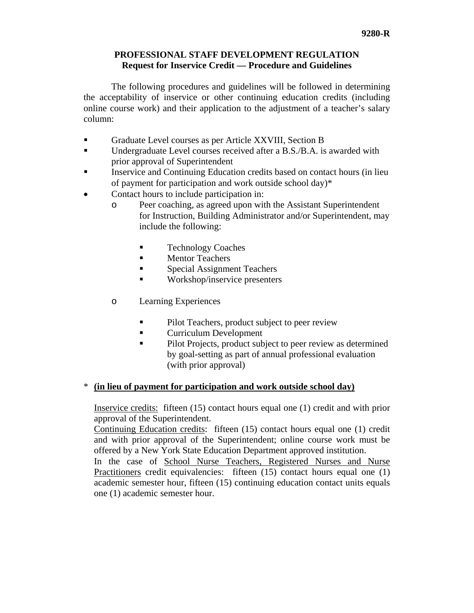## **PROFESSIONAL STAFF DEVELOPMENT REGULATION Request for Inservice Credit — Procedure and Guidelines**

 The following procedures and guidelines will be followed in determining the acceptability of inservice or other continuing education credits (including online course work) and their application to the adjustment of a teacher's salary column:

- Graduate Level courses as per Article XXVIII, Section B
- Undergraduate Level courses received after a B.S./B.A. is awarded with prior approval of Superintendent
- Inservice and Continuing Education credits based on contact hours (in lieu of payment for participation and work outside school day)\*
- Contact hours to include participation in:
	- o Peer coaching, as agreed upon with the Assistant Superintendent for Instruction, Building Administrator and/or Superintendent, may include the following:
		- Technology Coaches
		- **Mentor Teachers**
		- **Special Assignment Teachers**
		- **Workshop/inservice presenters**
	- o Learning Experiences
		- Pilot Teachers, product subject to peer review
		- **Example 2** Curriculum Development
		- Pilot Projects, product subject to peer review as determined by goal-setting as part of annual professional evaluation (with prior approval)

## \* **(in lieu of payment for participation and work outside school day)**

Inservice credits: fifteen (15) contact hours equal one (1) credit and with prior approval of the Superintendent.

Continuing Education credits: fifteen (15) contact hours equal one (1) credit and with prior approval of the Superintendent; online course work must be offered by a New York State Education Department approved institution.

In the case of School Nurse Teachers, Registered Nurses and Nurse Practitioners credit equivalencies: fifteen (15) contact hours equal one (1) academic semester hour, fifteen (15) continuing education contact units equals one (1) academic semester hour.